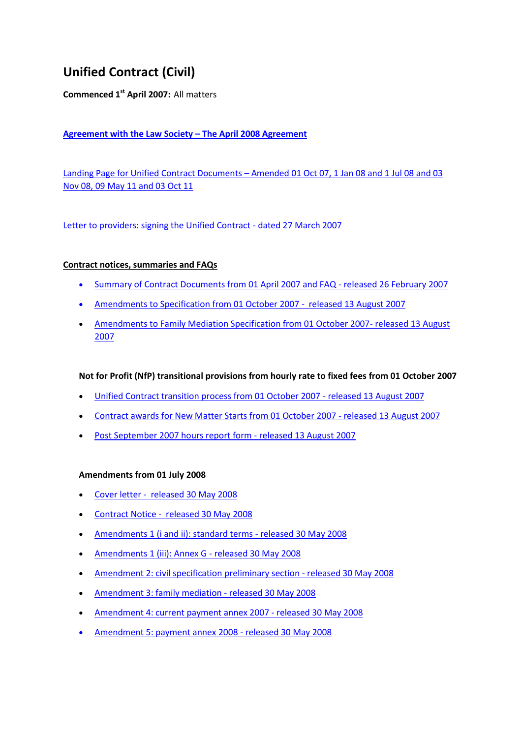# **Unified Contract (Civil)**

**Commenced 1st April 2007:** All matters

# **[Agreement with the Law Society](http://webarchive.nationalarchives.gov.uk/20111209154839/http:/www.legalservices.gov.uk/civil/agreement_law_society.asp) – The April 2008 Agreement**

Landing Page for Unified Contract Documents – [Amended 01 Oct 07, 1 Jan 08 and 1 Jul 08 and 03](http://webarchive.nationalarchives.gov.uk/20111209151531/http:/www.legalservices.gov.uk/civil/unified_contract_civil.asp)  [Nov 08, 09 May 11 and 03 Oct 11](http://webarchive.nationalarchives.gov.uk/20111209151531/http:/www.legalservices.gov.uk/civil/unified_contract_civil.asp)

[Letter to providers: signing the Unified Contract -](https://web.archive.org/web/20070430050042/http:/www.legalservices.gov.uk/docs/civil_contracting/UC_letter_to_providers_270307.pdf) dated 27 March 2007

## **Contract notices, summaries and FAQs**

- [Summary of Contract Documents from 01 April 2007 and FAQ -](http://webarchive.nationalarchives.gov.uk/20080727012213/http:/www.legalservices.gov.uk/docs/civil_contracting/unified_contract_summary_and_faq.pdf) released 26 February 2007
- [Amendments to Specification from 01 October 2007 released 13 August 2007](http://webarchive.nationalarchives.gov.uk/20080727012213/http:/www.legalservices.gov.uk/docs/civil_contracting/070813_Unified_Contract_Notice_(Civil_Specification).pdf)
- [Amendments to Family Mediation Specification from 01 October 2007-](http://webarchive.nationalarchives.gov.uk/20080727012213/http:/www.legalservices.gov.uk/docs/civil_contracting/070813_ContractNotice_FamilyMediation.pdf) released 13 August [2007](http://webarchive.nationalarchives.gov.uk/20080727012213/http:/www.legalservices.gov.uk/docs/civil_contracting/070813_ContractNotice_FamilyMediation.pdf)

# **Not for Profit (NfP) transitional provisions from hourly rate to fixed fees from 01 October 2007**

- [Unified Contract transition process from 01 October 2007 -](http://webarchive.nationalarchives.gov.uk/20080727012213/http:/www.legalservices.gov.uk/docs/civil_contracting/070813_NfPTransition.pdf) released 13 August 2007
- [Contract awards for New Matter Starts from 01 October 2007 -](http://webarchive.nationalarchives.gov.uk/20080727012213/http:/www.legalservices.gov.uk/docs/civil_contracting/070813_NfP_NMSawards.pdf) released 13 August 2007
- Post September [2007 hours report form -](http://webarchive.nationalarchives.gov.uk/20080727012213/http:/www.legalservices.gov.uk/docs/civil_contracting/070813_NfP_PostOctHrsReportForm.pdf) released 13 August 2007

#### **Amendments from 01 July 2008**

- [Cover letter released 30 May 2008](http://webarchive.nationalarchives.gov.uk/20071104171551/http:/www.legalservices.gov.uk/docs/civil_contracting/UCamends_Letter_to_Providers_300508.pdf)
- [Contract Notice released 30 May 2008](http://webarchive.nationalarchives.gov.uk/20071104171551/http:/www.legalservices.gov.uk/docs/civil_contracting/UCamends_Final_Unified_Contract_Notice_300508.pdf)
- [Amendments 1 \(i and ii\): standard terms -](http://webarchive.nationalarchives.gov.uk/20071104171551/http:/www.legalservices.gov.uk/docs/civil_contracting/UC_Notice_Amendment1(iandii)_Standard_Terms_300508.pdf) released 30 May 2008
- [Amendments 1 \(iii\): Annex G -](http://webarchive.nationalarchives.gov.uk/20071104171551/http:/www.legalservices.gov.uk/docs/civil_contracting/UC_Notice_Amendment1(iii)_AnnexG_Standard_Terms_300508.pdf) released 30 May 2008
- [Amendment 2: civil specification preliminary section -](http://webarchive.nationalarchives.gov.uk/20071104171551/http:/www.legalservices.gov.uk/docs/civil_contracting/UC_Notice_Amendment2_Civil_Specification_Preliminary_300508.pdf) released 30 May 2008
- [Amendment 3: family mediation -](http://webarchive.nationalarchives.gov.uk/20071104171551/http:/www.legalservices.gov.uk/docs/civil_contracting/UC_Notice_Amendment3_Family_Mediation_Specfication_Introduction_300508.pdf) released 30 May 2008
- [Amendment 4: current](http://webarchive.nationalarchives.gov.uk/20071104171551/http:/www.legalservices.gov.uk/docs/civil_contracting/UC_Notice_Amendment4_Spec_PartB_current_Payment_Annex_2007_300508.pdf) payment annex 2007 released 30 May 2008
- [Amendment 5: payment annex 2008 -](http://webarchive.nationalarchives.gov.uk/20071104171551/http:/www.legalservices.gov.uk/docs/civil_contracting/UC_Notice_Amendment5_Spec_PartB_Payment_AnnexB_2008_300508.pdf) released 30 May 2008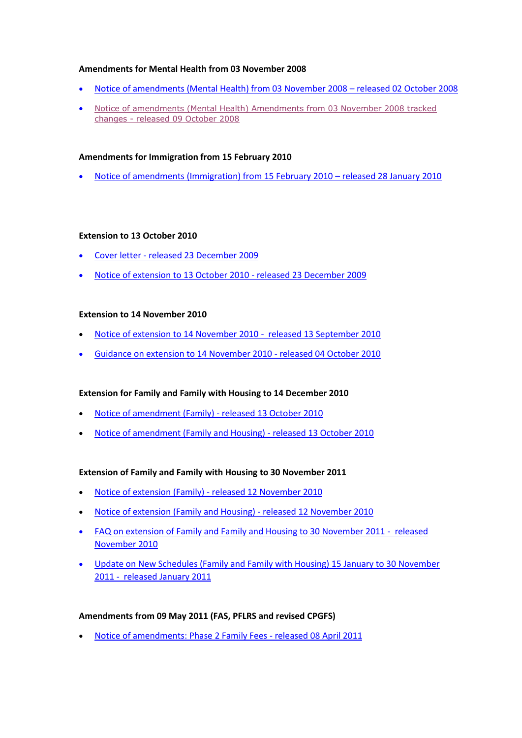#### **Amendments for Mental Health from 03 November 2008**

- [Notice of amendments \(Mental Health\) from 03 November 2008](http://webarchive.nationalarchives.gov.uk/20081007152627/http:/www.legalservices.gov.uk/docs/civil_contracting/MentalHealthAmendments.pdf)  released 02 October 2008
- [Notice of amendments \(Mental Health\) Amendments from 03 November 2008 tracked](http://webarchive.nationalarchives.gov.uk/20121207075251/http:/www.legalservices.gov.uk/081009Contract_NoticeMentalHealthAmendments_changes.pdf)  changes - [released 09 October 2008](http://webarchive.nationalarchives.gov.uk/20121207075251/http:/www.legalservices.gov.uk/081009Contract_NoticeMentalHealthAmendments_changes.pdf)

### **Amendments for Immigration from 15 February 2010**

[Notice of amendments \(Immigration\) from 15 February 2010](http://webarchive.nationalarchives.gov.uk/20101014002335/http:/www.legalservices.gov.uk/docs/consultations/FinalJan2010noticeofamendmenttoSection11ImmigrationSpecification_1.pdf) – released 28 January 2010

#### **Extension to 13 October 2010**

- Cover letter [released 23 December 2009](http://webarchive.nationalarchives.gov.uk/20110204173149/http:/www.legalservices.gov.uk/docs/civil_contracting/civil_notice_cover_letter_final231209.pdf)
- [Notice of extension to 13 October 2010 -](http://webarchive.nationalarchives.gov.uk/20110204173149/http:/www.legalservices.gov.uk/docs/civil_contracting/civil_contract_notice_final_231209.pdf) released 23 December 2009

#### **Extension to 14 November 2010**

- [Notice of extension to 14 November 2010 released 13 September 2010](http://webarchive.nationalarchives.gov.uk/20101014002335/http:/www.legalservices.gov.uk/docs/civil_contracting/Notice_of_contract_amendment_13_Sept_2010.pdf)
- [Guidance on extension to 14 November 2010 -](http://webarchive.nationalarchives.gov.uk/20101014002335/http:/www.legalservices.gov.uk/docs/civil_contracting/Unified_Contract_Extension_Guidance_Final_Oct0410ext.pdf) released 04 October 2010

#### **Extension for Family and Family with Housing to 14 December 2010**

- [Notice of amendment \(Family\) -](http://webarchive.nationalarchives.gov.uk/20101014002335/http:/www.legalservices.gov.uk/docs/civil_contracting/NOTICE_OF_CONTRACT_AMENDMENT_family.pdf) released 13 October 2010
- [Notice of amendment \(Family and Housing\) -](http://webarchive.nationalarchives.gov.uk/20101014002335/http:/www.legalservices.gov.uk/docs/civil_contracting/NOTICE_OF_CONTRACT_AMENDMENT_family_housing.pdf) released 13 October 2010

#### **Extension of Family and Family with Housing to 30 November 2011**

- [Notice of extension \(Family\) -](http://webarchive.nationalarchives.gov.uk/20110204171527/http:/www.legalservices.gov.uk/docs/civil_contracting/NOTICE_OF_CONTRACT_extension_family_12Nov.pdf) released 12 November 2010
- [Notice of extension \(Family and Housing\) -](http://webarchive.nationalarchives.gov.uk/20110204171527/http:/www.legalservices.gov.uk/docs/civil_contracting/NOTICE_OF_CONTRACT_extension_family_housing_12Nov.pdf) released 12 November 2010
- [FAQ on extension of Family and Family and Housing to 30 November 2011 released](http://webarchive.nationalarchives.gov.uk/20110204173149/http:/www.legalservices.gov.uk/docs/civil_contracting/FAQ_for_extension_of_family_contracts_final.pdf)  [November 2010](http://webarchive.nationalarchives.gov.uk/20110204173149/http:/www.legalservices.gov.uk/docs/civil_contracting/FAQ_for_extension_of_family_contracts_final.pdf)
- [Update on New Schedules \(Family and Family with Housing\) 15 January to 30 November](http://webarchive.nationalarchives.gov.uk/20110204171527/http:/www.legalservices.gov.uk/docs/civil_contracting/Unified_Contract_Schedules_External_Update_Jan_2011_Final.pdf)  [2011 - released January 2011](http://webarchive.nationalarchives.gov.uk/20110204171527/http:/www.legalservices.gov.uk/docs/civil_contracting/Unified_Contract_Schedules_External_Update_Jan_2011_Final.pdf)

#### **Amendments from 09 May 2011 (FAS, PFLRS and revised CPGFS)**

[Notice of amendments: Phase 2 Family Fees -](http://webarchive.nationalarchives.gov.uk/20110602065355/http:/www.legalservices.gov.uk/docs/main/Notice_of_Unified_Contract_Amendments_Phase2_-_Apr_2011.pdf) released 08 April 2011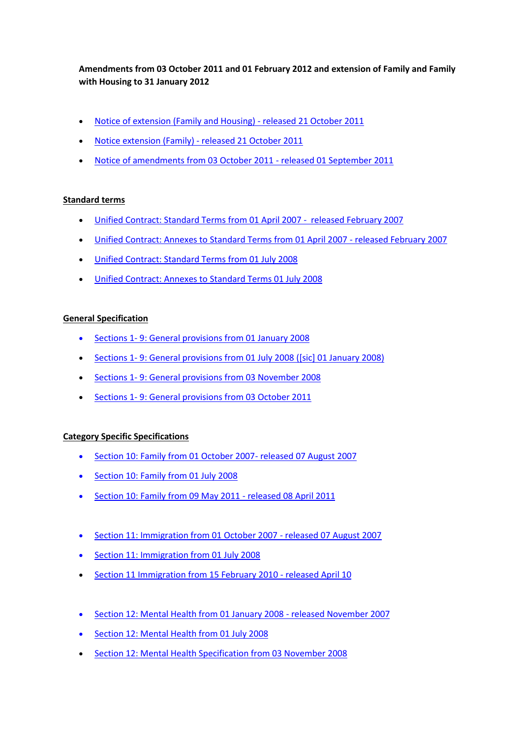**Amendments from 03 October 2011 and 01 February 2012 and extension of Family and Family with Housing to 31 January 2012**

- [Notice of extension \(Family and Housing\) -](http://webarchive.nationalarchives.gov.uk/20111209151531/http:/www.legalservices.gov.uk/docs/civil_contracting/Family_and_Housing_Extension_Oct_11_(99_kb).pdf) released 21 October 2011
- [Notice extension \(Family\) -](http://webarchive.nationalarchives.gov.uk/20111209151531/http:/www.legalservices.gov.uk/docs/civil_contracting/Notice_of_extersion_Oct_11_(98_kb).pdf) released 21 October 2011
- [Notice of amendments from 03 October 2011 -](http://webarchive.nationalarchives.gov.uk/20111209151531/http:/www.legalservices.gov.uk/docs/civil_contracting/Unified_Contract_variation_notice_October_2011.pdf) released 01 September 2011

## **Standard terms**

- [Unified Contract: Standard Terms from 01 April 2007 released February 2007](http://webarchive.nationalarchives.gov.uk/20080727012213/http:/www.legalservices.gov.uk/docs/civil_contracting/unified_contract_standard_terms.pdf)
- [Unified Contract: Annexes to Standard Terms from 01 April 2007 -](http://webarchive.nationalarchives.gov.uk/20080727012213/http:/www.legalservices.gov.uk/docs/civil_contracting/unified_contract_annexes_to_standard_terms.pdf) released February 2007
- [Unified Contract: Standard Terms from 01 July 2008](http://webarchive.nationalarchives.gov.uk/20081007152627/http:/www.legalservices.gov.uk/docs/civil_contracting/080701StandardTerms.pdf)
- [Unified Contract: Annexes to Standard Terms 01 July 2008](http://webarchive.nationalarchives.gov.uk/20081007152627/http:/www.legalservices.gov.uk/docs/civil_contracting/080701StandardTermsAnnexes.pdf)

## **General Specification**

- Sections 1- [9: General provisions from 01 January 2008](http://webarchive.nationalarchives.gov.uk/20080727012213/http:/www.legalservices.gov.uk/docs/civil_contracting/Civil_Specification_General_Provisions_130208.pdf)
- Sections 1- [9: General provisions from 01 July 2008 \(\[sic\] 01 January 2008\)](http://webarchive.nationalarchives.gov.uk/20081007152627/http:/www.legalservices.gov.uk/docs/civil_contracting/080701CivilSpecificationGeneralProvisions.pdf)
- Sections 1- [9: General provisions from 03 November 2008](http://webarchive.nationalarchives.gov.uk/20090216002514/http:/www.legalservices.gov.uk/docs/civil_contracting/081103CivilSpecificationGeneralProvisionsNov08.pdf)
- Sections 1-[9: General provisions from 03 October 2011](http://webarchive.nationalarchives.gov.uk/20111209151531/http:/www.legalservices.gov.uk/docs/criminal_contracting/Unified_Contract_Specification_October_2011.pdf)

# **Category Specific Specifications**

- [Section 10: Family from 01 October 2007-](http://webarchive.nationalarchives.gov.uk/20080727012213/http:/www.legalservices.gov.uk/docs/civil_contracting/070813_Civil_Specification_Section_10_FamilySpecification.pdf) released 07 August 2007
- [Section 10: Family from 01 July 2008](http://webarchive.nationalarchives.gov.uk/20081007152627/http:/www.legalservices.gov.uk/docs/civil_contracting/080701FamilySpecification(071001).pdf)
- [Section 10: Family from 09 May 2011 -](http://webarchive.nationalarchives.gov.uk/20110602065355/http:/www.legalservices.gov.uk/docs/main/Section_10_Amended_Family_Specification_-_Apr_2011.pdf) released 08 April 2011
- [Section 11: Immigration from 01 October 2007 -](http://webarchive.nationalarchives.gov.uk/20080727012213/http:/www.legalservices.gov.uk/docs/civil_contracting/070813_Civil_Specification_Section_11_ImmigrationSpecification.pdf) released 07 August 2007
- [Section 11: Immigration from 01 July 2008](http://webarchive.nationalarchives.gov.uk/20081007152627/http:/www.legalservices.gov.uk/docs/civil_contracting/080701ImmigrationSpecification(071001).pdf)
- [Section 11 Immigration from 15 February 2010 -](http://webarchive.nationalarchives.gov.uk/20101014002335/http:/www.legalservices.gov.uk/docs/consultations/Section11ImmigrationSpecification(effective15Feb2010)-April10_1.pdf) released April 10
- [Section 12: Mental Health from 01 January 2008 -](http://webarchive.nationalarchives.gov.uk/20080727012213/http:/www.legalservices.gov.uk/docs/cls_main/MHSpecFINALVersionforWebsite7Nov07_.pdf) released November 2007
- [Section 12: Mental Health from 01 July 2008](http://webarchive.nationalarchives.gov.uk/20081007152627/http:/www.legalservices.gov.uk/docs/cls_main/080701MentalHealth(080101).pdf)
- [Section 12: Mental Health Specification from 03 November 2008](http://webarchive.nationalarchives.gov.uk/20090216002514/http:/www.legalservices.gov.uk/docs/cls_main/081103Section12MentalHealthSpecificationNov08.pdf)